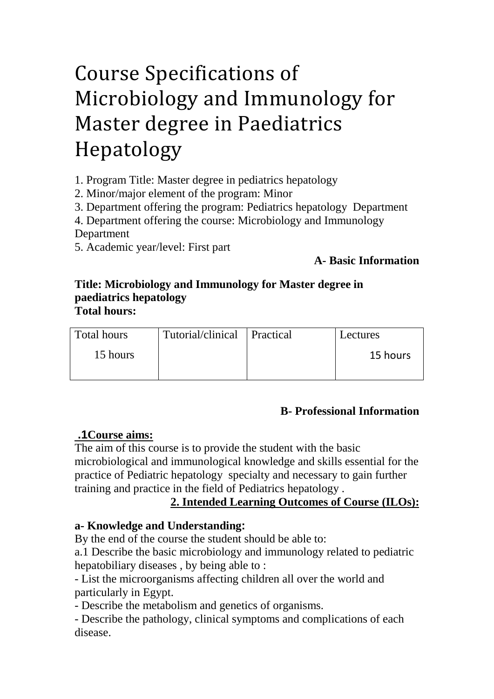# Course Specifications of Microbiology and Immunology for Master degree in Paediatrics Hepatology

1. Program Title: Master degree in pediatrics hepatology

2. Minor/major element of the program: Minor

3. Department offering the program: Pediatrics hepatology Department

4. Department offering the course: Microbiology and Immunology

#### Department

5. Academic year/level: First part

# **A- Basic Information**

#### **Title: Microbiology and Immunology for Master degree in paediatrics hepatology Total hours:**

| Total hours | Tutorial/clinical Practical | Lectures |
|-------------|-----------------------------|----------|
| 15 hours    |                             | 15 hours |

## **B- Professional Information**

# *<sup>U</sup>* **.1Course aims:**

The aim of this course is to provide the student with the basic microbiological and immunological knowledge and skills essential for the practice of Pediatric hepatology specialty and necessary to gain further training and practice in the field of Pediatrics hepatology .

# 2. Intended Learning Outcomes of Course (ILOs):

## **a- Knowledge and Understanding:**

By the end of the course the student should be able to:

a.1 Describe the basic microbiology and immunology related to pediatric hepatobiliary diseases , by being able to :

- List the microorganisms affecting children all over the world and particularly in Egypt.

- Describe the metabolism and genetics of organisms.

- Describe the pathology, clinical symptoms and complications of each disease.